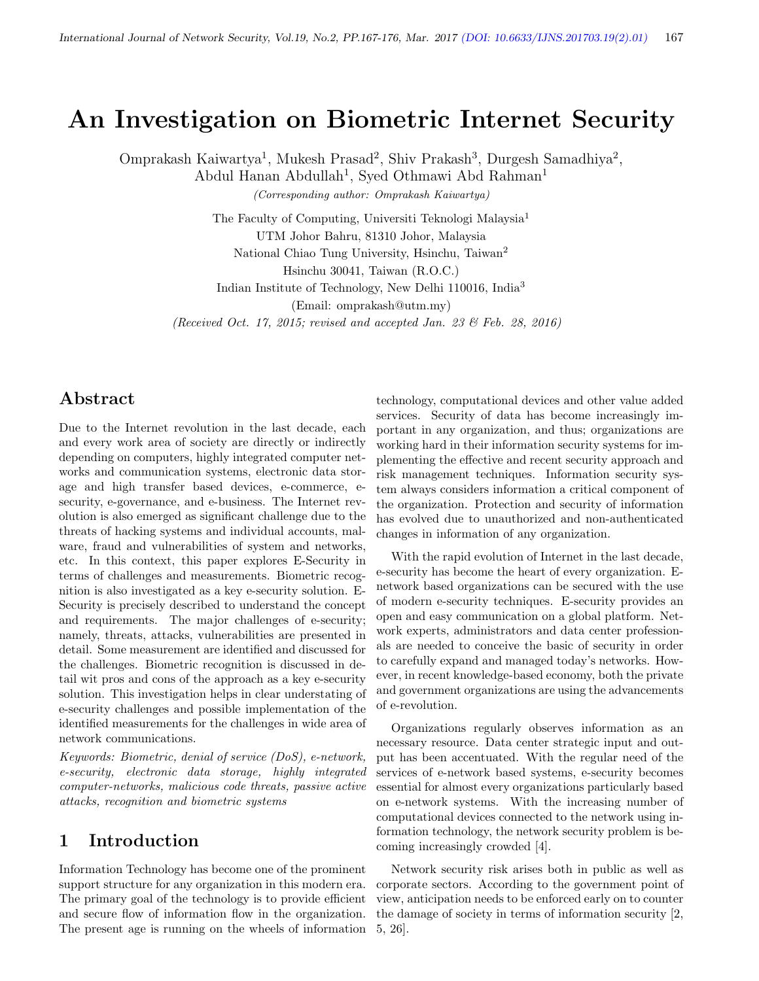# An Investigation on Biometric Internet Security

Omprakash Kaiwartya<sup>1</sup>, Mukesh Prasad<sup>2</sup>, Shiv Prakash<sup>3</sup>, Durgesh Samadhiya<sup>2</sup>,

Abdul Hanan Abdullah<sup>1</sup>, Syed Othmawi Abd Rahman<sup>1</sup>

(Corresponding author: Omprakash Kaiwartya)

The Faculty of Computing, Universiti Teknologi Malaysia<sup>1</sup> UTM Johor Bahru, 81310 Johor, Malaysia National Chiao Tung University, Hsinchu, Taiwan<sup>2</sup> Hsinchu 30041, Taiwan (R.O.C.)

Indian Institute of Technology, New Delhi 110016, India<sup>3</sup>

(Email: omprakash@utm.my)

(Received Oct. 17, 2015; revised and accepted Jan. 23 & Feb. 28, 2016)

# Abstract

Due to the Internet revolution in the last decade, each and every work area of society are directly or indirectly depending on computers, highly integrated computer networks and communication systems, electronic data storage and high transfer based devices, e-commerce, esecurity, e-governance, and e-business. The Internet revolution is also emerged as significant challenge due to the threats of hacking systems and individual accounts, malware, fraud and vulnerabilities of system and networks, etc. In this context, this paper explores E-Security in terms of challenges and measurements. Biometric recognition is also investigated as a key e-security solution. E-Security is precisely described to understand the concept and requirements. The major challenges of e-security; namely, threats, attacks, vulnerabilities are presented in detail. Some measurement are identified and discussed for the challenges. Biometric recognition is discussed in detail wit pros and cons of the approach as a key e-security solution. This investigation helps in clear understating of e-security challenges and possible implementation of the identified measurements for the challenges in wide area of network communications.

Keywords: Biometric, denial of service (DoS), e-network, e-security, electronic data storage, highly integrated computer-networks, malicious code threats, passive active attacks, recognition and biometric systems

# 1 Introduction

Information Technology has become one of the prominent support structure for any organization in this modern era. The primary goal of the technology is to provide efficient and secure flow of information flow in the organization. The present age is running on the wheels of information technology, computational devices and other value added services. Security of data has become increasingly important in any organization, and thus; organizations are working hard in their information security systems for implementing the effective and recent security approach and risk management techniques. Information security system always considers information a critical component of the organization. Protection and security of information has evolved due to unauthorized and non-authenticated changes in information of any organization.

With the rapid evolution of Internet in the last decade, e-security has become the heart of every organization. Enetwork based organizations can be secured with the use of modern e-security techniques. E-security provides an open and easy communication on a global platform. Network experts, administrators and data center professionals are needed to conceive the basic of security in order to carefully expand and managed today's networks. However, in recent knowledge-based economy, both the private and government organizations are using the advancements of e-revolution.

Organizations regularly observes information as an necessary resource. Data center strategic input and output has been accentuated. With the regular need of the services of e-network based systems, e-security becomes essential for almost every organizations particularly based on e-network systems. With the increasing number of computational devices connected to the network using information technology, the network security problem is becoming increasingly crowded [4].

Network security risk arises both in public as well as corporate sectors. According to the government point of view, anticipation needs to be enforced early on to counter the damage of society in terms of information security [2, 5, 26].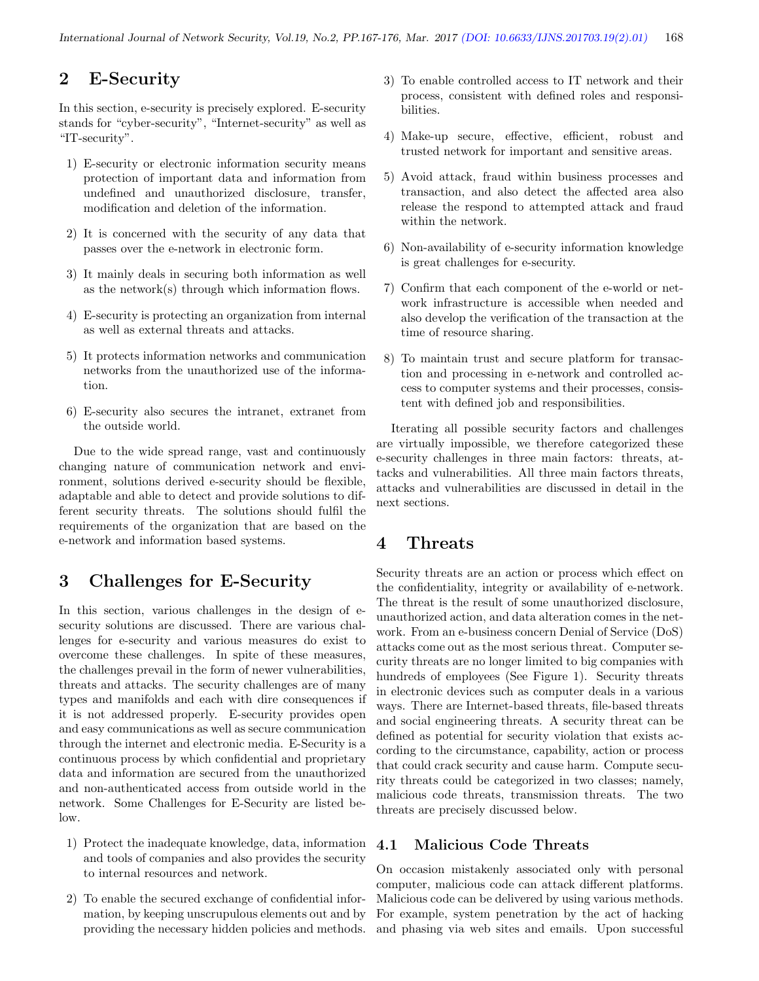# 2 E-Security

In this section, e-security is precisely explored. E-security stands for "cyber-security", "Internet-security" as well as "IT-security".

- 1) E-security or electronic information security means protection of important data and information from undefined and unauthorized disclosure, transfer, modification and deletion of the information.
- 2) It is concerned with the security of any data that passes over the e-network in electronic form.
- 3) It mainly deals in securing both information as well as the network(s) through which information flows.
- 4) E-security is protecting an organization from internal as well as external threats and attacks.
- 5) It protects information networks and communication networks from the unauthorized use of the information.
- 6) E-security also secures the intranet, extranet from the outside world.

Due to the wide spread range, vast and continuously changing nature of communication network and environment, solutions derived e-security should be flexible, adaptable and able to detect and provide solutions to different security threats. The solutions should fulfil the requirements of the organization that are based on the e-network and information based systems.

# 3 Challenges for E-Security

In this section, various challenges in the design of esecurity solutions are discussed. There are various challenges for e-security and various measures do exist to overcome these challenges. In spite of these measures, the challenges prevail in the form of newer vulnerabilities, threats and attacks. The security challenges are of many types and manifolds and each with dire consequences if it is not addressed properly. E-security provides open and easy communications as well as secure communication through the internet and electronic media. E-Security is a continuous process by which confidential and proprietary data and information are secured from the unauthorized and non-authenticated access from outside world in the network. Some Challenges for E-Security are listed below.

- 1) Protect the inadequate knowledge, data, information and tools of companies and also provides the security to internal resources and network.
- 2) To enable the secured exchange of confidential information, by keeping unscrupulous elements out and by providing the necessary hidden policies and methods.
- 3) To enable controlled access to IT network and their process, consistent with defined roles and responsibilities.
- 4) Make-up secure, effective, efficient, robust and trusted network for important and sensitive areas.
- 5) Avoid attack, fraud within business processes and transaction, and also detect the affected area also release the respond to attempted attack and fraud within the network.
- 6) Non-availability of e-security information knowledge is great challenges for e-security.
- 7) Confirm that each component of the e-world or network infrastructure is accessible when needed and also develop the verification of the transaction at the time of resource sharing.
- 8) To maintain trust and secure platform for transaction and processing in e-network and controlled access to computer systems and their processes, consistent with defined job and responsibilities.

Iterating all possible security factors and challenges are virtually impossible, we therefore categorized these e-security challenges in three main factors: threats, attacks and vulnerabilities. All three main factors threats, attacks and vulnerabilities are discussed in detail in the next sections.

# 4 Threats

Security threats are an action or process which effect on the confidentiality, integrity or availability of e-network. The threat is the result of some unauthorized disclosure, unauthorized action, and data alteration comes in the network. From an e-business concern Denial of Service (DoS) attacks come out as the most serious threat. Computer security threats are no longer limited to big companies with hundreds of employees (See Figure 1). Security threats in electronic devices such as computer deals in a various ways. There are Internet-based threats, file-based threats and social engineering threats. A security threat can be defined as potential for security violation that exists according to the circumstance, capability, action or process that could crack security and cause harm. Compute security threats could be categorized in two classes; namely, malicious code threats, transmission threats. The two threats are precisely discussed below.

### 4.1 Malicious Code Threats

On occasion mistakenly associated only with personal computer, malicious code can attack different platforms. Malicious code can be delivered by using various methods. For example, system penetration by the act of hacking and phasing via web sites and emails. Upon successful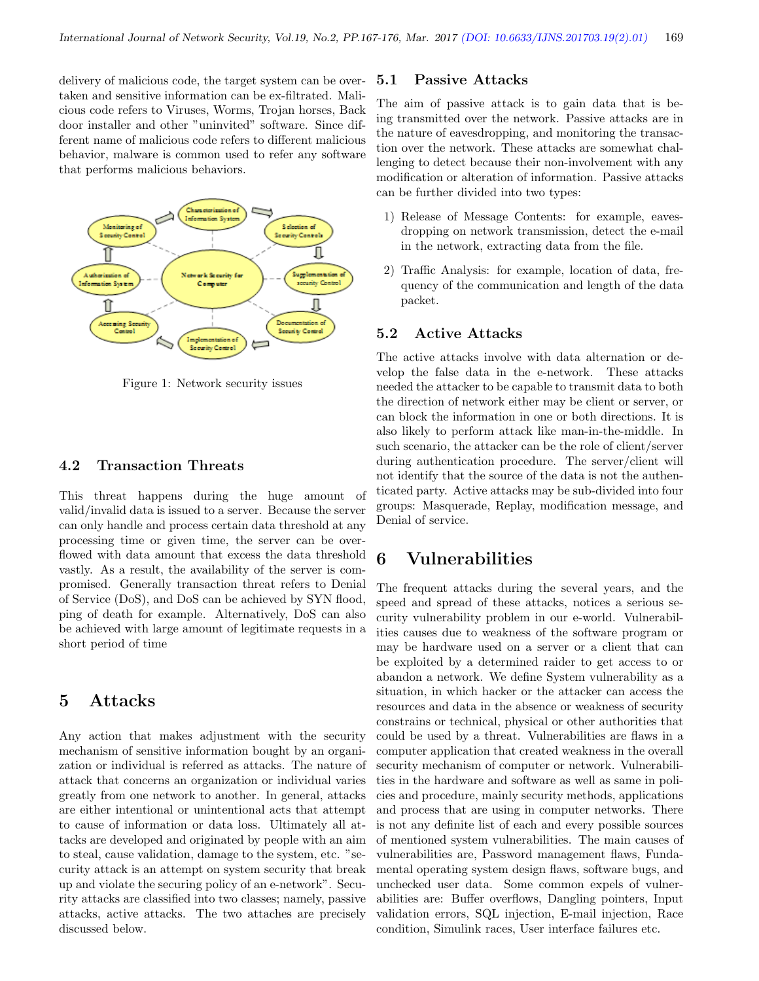delivery of malicious code, the target system can be overtaken and sensitive information can be ex-filtrated. Malicious code refers to Viruses, Worms, Trojan horses, Back door installer and other "uninvited" software. Since different name of malicious code refers to different malicious behavior, malware is common used to refer any software that performs malicious behaviors.



Figure 1: Network security issues

#### 4.2 Transaction Threats

This threat happens during the huge amount of valid/invalid data is issued to a server. Because the server can only handle and process certain data threshold at any processing time or given time, the server can be overflowed with data amount that excess the data threshold vastly. As a result, the availability of the server is compromised. Generally transaction threat refers to Denial of Service (DoS), and DoS can be achieved by SYN flood, ping of death for example. Alternatively, DoS can also be achieved with large amount of legitimate requests in a short period of time

# 5 Attacks

Any action that makes adjustment with the security mechanism of sensitive information bought by an organization or individual is referred as attacks. The nature of attack that concerns an organization or individual varies greatly from one network to another. In general, attacks are either intentional or unintentional acts that attempt to cause of information or data loss. Ultimately all attacks are developed and originated by people with an aim to steal, cause validation, damage to the system, etc. "security attack is an attempt on system security that break up and violate the securing policy of an e-network". Security attacks are classified into two classes; namely, passive attacks, active attacks. The two attaches are precisely discussed below.

#### 5.1 Passive Attacks

The aim of passive attack is to gain data that is being transmitted over the network. Passive attacks are in the nature of eavesdropping, and monitoring the transaction over the network. These attacks are somewhat challenging to detect because their non-involvement with any modification or alteration of information. Passive attacks can be further divided into two types:

- 1) Release of Message Contents: for example, eavesdropping on network transmission, detect the e-mail in the network, extracting data from the file.
- 2) Traffic Analysis: for example, location of data, frequency of the communication and length of the data packet.

#### 5.2 Active Attacks

The active attacks involve with data alternation or develop the false data in the e-network. These attacks needed the attacker to be capable to transmit data to both the direction of network either may be client or server, or can block the information in one or both directions. It is also likely to perform attack like man-in-the-middle. In such scenario, the attacker can be the role of client/server during authentication procedure. The server/client will not identify that the source of the data is not the authenticated party. Active attacks may be sub-divided into four groups: Masquerade, Replay, modification message, and Denial of service.

## 6 Vulnerabilities

The frequent attacks during the several years, and the speed and spread of these attacks, notices a serious security vulnerability problem in our e-world. Vulnerabilities causes due to weakness of the software program or may be hardware used on a server or a client that can be exploited by a determined raider to get access to or abandon a network. We define System vulnerability as a situation, in which hacker or the attacker can access the resources and data in the absence or weakness of security constrains or technical, physical or other authorities that could be used by a threat. Vulnerabilities are flaws in a computer application that created weakness in the overall security mechanism of computer or network. Vulnerabilities in the hardware and software as well as same in policies and procedure, mainly security methods, applications and process that are using in computer networks. There is not any definite list of each and every possible sources of mentioned system vulnerabilities. The main causes of vulnerabilities are, Password management flaws, Fundamental operating system design flaws, software bugs, and unchecked user data. Some common expels of vulnerabilities are: Buffer overflows, Dangling pointers, Input validation errors, SQL injection, E-mail injection, Race condition, Simulink races, User interface failures etc.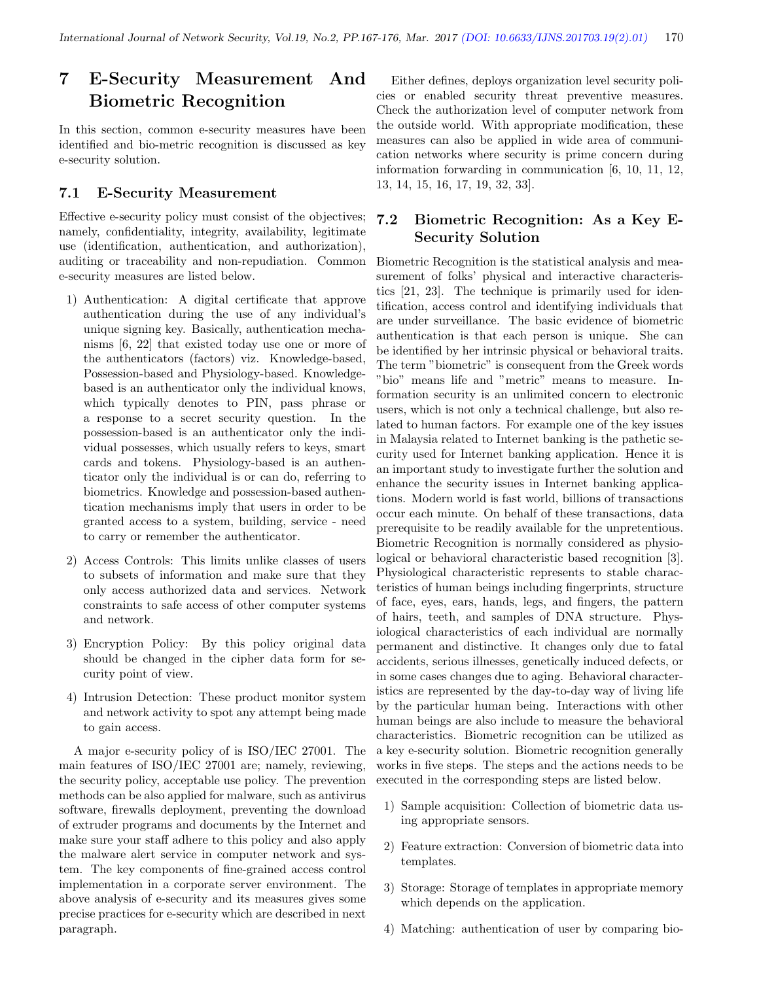# 7 E-Security Measurement And Biometric Recognition

In this section, common e-security measures have been identified and bio-metric recognition is discussed as key e-security solution.

#### 7.1 E-Security Measurement

Effective e-security policy must consist of the objectives; namely, confidentiality, integrity, availability, legitimate use (identification, authentication, and authorization), auditing or traceability and non-repudiation. Common e-security measures are listed below.

- 1) Authentication: A digital certificate that approve authentication during the use of any individual's unique signing key. Basically, authentication mechanisms [6, 22] that existed today use one or more of the authenticators (factors) viz. Knowledge-based, Possession-based and Physiology-based. Knowledgebased is an authenticator only the individual knows, which typically denotes to PIN, pass phrase or a response to a secret security question. In the possession-based is an authenticator only the individual possesses, which usually refers to keys, smart cards and tokens. Physiology-based is an authenticator only the individual is or can do, referring to biometrics. Knowledge and possession-based authentication mechanisms imply that users in order to be granted access to a system, building, service - need to carry or remember the authenticator.
- 2) Access Controls: This limits unlike classes of users to subsets of information and make sure that they only access authorized data and services. Network constraints to safe access of other computer systems and network.
- 3) Encryption Policy: By this policy original data should be changed in the cipher data form for security point of view.
- 4) Intrusion Detection: These product monitor system and network activity to spot any attempt being made to gain access.

A major e-security policy of is ISO/IEC 27001. The main features of ISO/IEC 27001 are; namely, reviewing, the security policy, acceptable use policy. The prevention methods can be also applied for malware, such as antivirus software, firewalls deployment, preventing the download of extruder programs and documents by the Internet and make sure your staff adhere to this policy and also apply the malware alert service in computer network and system. The key components of fine-grained access control implementation in a corporate server environment. The above analysis of e-security and its measures gives some precise practices for e-security which are described in next paragraph.

Either defines, deploys organization level security policies or enabled security threat preventive measures. Check the authorization level of computer network from the outside world. With appropriate modification, these measures can also be applied in wide area of communication networks where security is prime concern during information forwarding in communication [6, 10, 11, 12, 13, 14, 15, 16, 17, 19, 32, 33].

### 7.2 Biometric Recognition: As a Key E-Security Solution

Biometric Recognition is the statistical analysis and measurement of folks' physical and interactive characteristics [21, 23]. The technique is primarily used for identification, access control and identifying individuals that are under surveillance. The basic evidence of biometric authentication is that each person is unique. She can be identified by her intrinsic physical or behavioral traits. The term "biometric" is consequent from the Greek words "bio" means life and "metric" means to measure. Information security is an unlimited concern to electronic users, which is not only a technical challenge, but also related to human factors. For example one of the key issues in Malaysia related to Internet banking is the pathetic security used for Internet banking application. Hence it is an important study to investigate further the solution and enhance the security issues in Internet banking applications. Modern world is fast world, billions of transactions occur each minute. On behalf of these transactions, data prerequisite to be readily available for the unpretentious. Biometric Recognition is normally considered as physiological or behavioral characteristic based recognition [3]. Physiological characteristic represents to stable characteristics of human beings including fingerprints, structure of face, eyes, ears, hands, legs, and fingers, the pattern of hairs, teeth, and samples of DNA structure. Physiological characteristics of each individual are normally permanent and distinctive. It changes only due to fatal accidents, serious illnesses, genetically induced defects, or in some cases changes due to aging. Behavioral characteristics are represented by the day-to-day way of living life by the particular human being. Interactions with other human beings are also include to measure the behavioral characteristics. Biometric recognition can be utilized as a key e-security solution. Biometric recognition generally works in five steps. The steps and the actions needs to be executed in the corresponding steps are listed below.

- 1) Sample acquisition: Collection of biometric data using appropriate sensors.
- 2) Feature extraction: Conversion of biometric data into templates.
- 3) Storage: Storage of templates in appropriate memory which depends on the application.
- 4) Matching: authentication of user by comparing bio-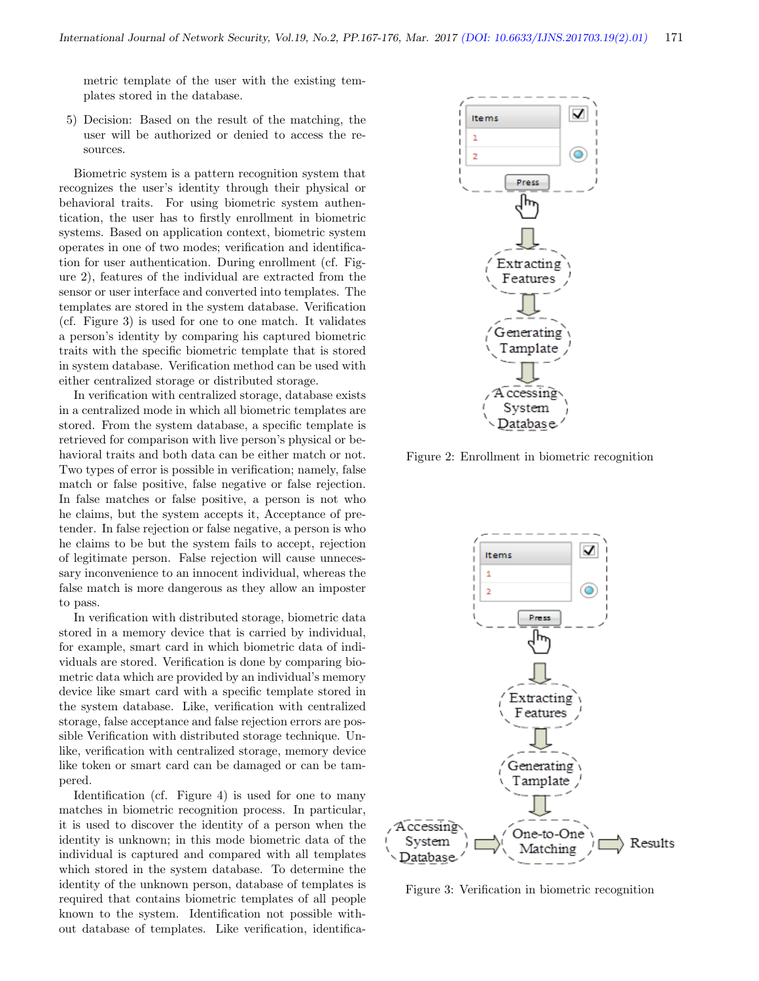metric template of the user with the existing templates stored in the database.

5) Decision: Based on the result of the matching, the user will be authorized or denied to access the resources.

Biometric system is a pattern recognition system that recognizes the user's identity through their physical or behavioral traits. For using biometric system authentication, the user has to firstly enrollment in biometric systems. Based on application context, biometric system operates in one of two modes; verification and identification for user authentication. During enrollment (cf. Figure 2), features of the individual are extracted from the sensor or user interface and converted into templates. The templates are stored in the system database. Verification (cf. Figure 3) is used for one to one match. It validates a person's identity by comparing his captured biometric traits with the specific biometric template that is stored in system database. Verification method can be used with either centralized storage or distributed storage.

In verification with centralized storage, database exists in a centralized mode in which all biometric templates are stored. From the system database, a specific template is retrieved for comparison with live person's physical or behavioral traits and both data can be either match or not. Two types of error is possible in verification; namely, false match or false positive, false negative or false rejection. In false matches or false positive, a person is not who he claims, but the system accepts it, Acceptance of pretender. In false rejection or false negative, a person is who he claims to be but the system fails to accept, rejection of legitimate person. False rejection will cause unnecessary inconvenience to an innocent individual, whereas the false match is more dangerous as they allow an imposter to pass.

In verification with distributed storage, biometric data stored in a memory device that is carried by individual, for example, smart card in which biometric data of individuals are stored. Verification is done by comparing biometric data which are provided by an individual's memory device like smart card with a specific template stored in the system database. Like, verification with centralized storage, false acceptance and false rejection errors are possible Verification with distributed storage technique. Unlike, verification with centralized storage, memory device like token or smart card can be damaged or can be tampered.

Identification (cf. Figure 4) is used for one to many matches in biometric recognition process. In particular, it is used to discover the identity of a person when the identity is unknown; in this mode biometric data of the individual is captured and compared with all templates which stored in the system database. To determine the identity of the unknown person, database of templates is required that contains biometric templates of all people known to the system. Identification not possible without database of templates. Like verification, identifica-



Figure 2: Enrollment in biometric recognition



Figure 3: Verification in biometric recognition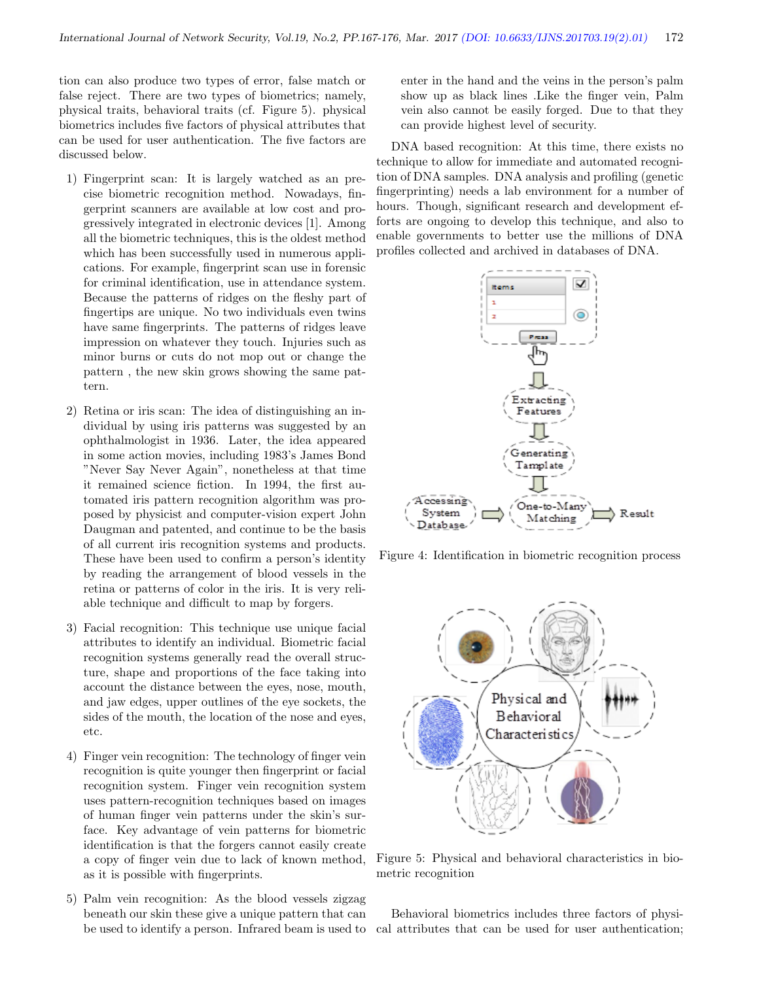tion can also produce two types of error, false match or false reject. There are two types of biometrics; namely, physical traits, behavioral traits (cf. Figure 5). physical biometrics includes five factors of physical attributes that can be used for user authentication. The five factors are discussed below.

- 1) Fingerprint scan: It is largely watched as an precise biometric recognition method. Nowadays, fingerprint scanners are available at low cost and progressively integrated in electronic devices [1]. Among all the biometric techniques, this is the oldest method which has been successfully used in numerous applications. For example, fingerprint scan use in forensic for criminal identification, use in attendance system. Because the patterns of ridges on the fleshy part of fingertips are unique. No two individuals even twins have same fingerprints. The patterns of ridges leave impression on whatever they touch. Injuries such as minor burns or cuts do not mop out or change the pattern , the new skin grows showing the same pattern.
- 2) Retina or iris scan: The idea of distinguishing an individual by using iris patterns was suggested by an ophthalmologist in 1936. Later, the idea appeared in some action movies, including 1983's James Bond "Never Say Never Again", nonetheless at that time it remained science fiction. In 1994, the first automated iris pattern recognition algorithm was proposed by physicist and computer-vision expert John Daugman and patented, and continue to be the basis of all current iris recognition systems and products. These have been used to confirm a person's identity by reading the arrangement of blood vessels in the retina or patterns of color in the iris. It is very reliable technique and difficult to map by forgers.
- 3) Facial recognition: This technique use unique facial attributes to identify an individual. Biometric facial recognition systems generally read the overall structure, shape and proportions of the face taking into account the distance between the eyes, nose, mouth, and jaw edges, upper outlines of the eye sockets, the sides of the mouth, the location of the nose and eyes, etc.
- 4) Finger vein recognition: The technology of finger vein recognition is quite younger then fingerprint or facial recognition system. Finger vein recognition system uses pattern-recognition techniques based on images of human finger vein patterns under the skin's surface. Key advantage of vein patterns for biometric identification is that the forgers cannot easily create a copy of finger vein due to lack of known method, as it is possible with fingerprints.
- 5) Palm vein recognition: As the blood vessels zigzag beneath our skin these give a unique pattern that can be used to identify a person. Infrared beam is used to

enter in the hand and the veins in the person's palm show up as black lines .Like the finger vein, Palm vein also cannot be easily forged. Due to that they can provide highest level of security.

DNA based recognition: At this time, there exists no technique to allow for immediate and automated recognition of DNA samples. DNA analysis and profiling (genetic fingerprinting) needs a lab environment for a number of hours. Though, significant research and development efforts are ongoing to develop this technique, and also to enable governments to better use the millions of DNA profiles collected and archived in databases of DNA.



Figure 4: Identification in biometric recognition process



Figure 5: Physical and behavioral characteristics in biometric recognition

Behavioral biometrics includes three factors of physical attributes that can be used for user authentication;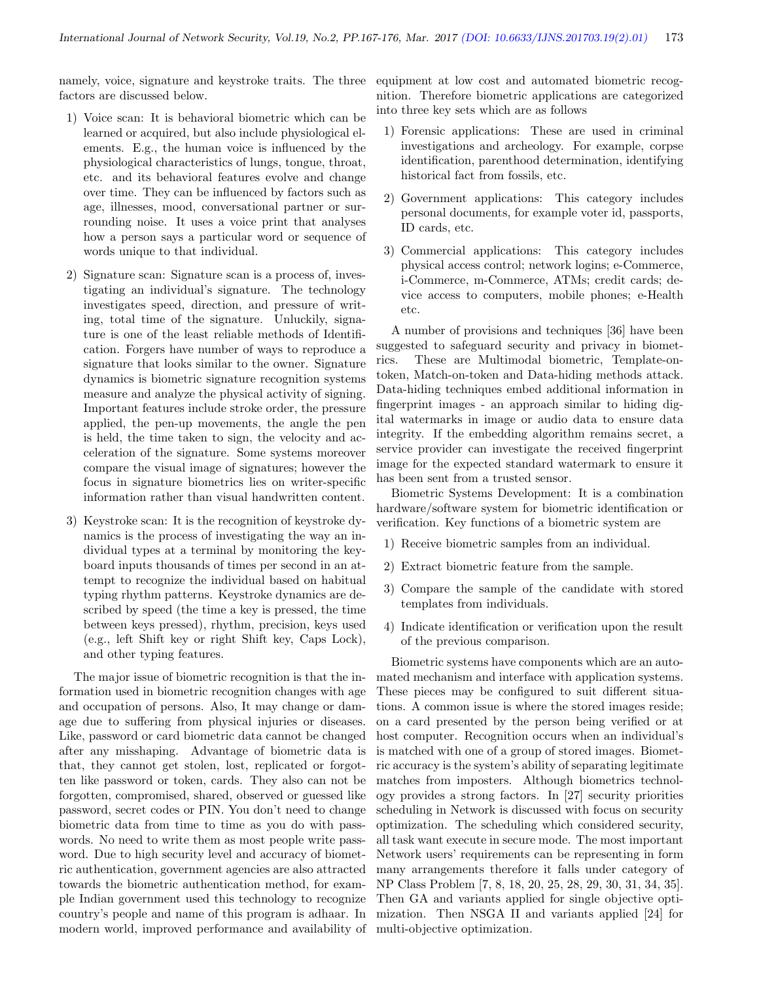namely, voice, signature and keystroke traits. The three factors are discussed below.

- 1) Voice scan: It is behavioral biometric which can be learned or acquired, but also include physiological elements. E.g., the human voice is influenced by the physiological characteristics of lungs, tongue, throat, etc. and its behavioral features evolve and change over time. They can be influenced by factors such as age, illnesses, mood, conversational partner or surrounding noise. It uses a voice print that analyses how a person says a particular word or sequence of words unique to that individual.
- 2) Signature scan: Signature scan is a process of, investigating an individual's signature. The technology investigates speed, direction, and pressure of writing, total time of the signature. Unluckily, signature is one of the least reliable methods of Identification. Forgers have number of ways to reproduce a signature that looks similar to the owner. Signature dynamics is biometric signature recognition systems measure and analyze the physical activity of signing. Important features include stroke order, the pressure applied, the pen-up movements, the angle the pen is held, the time taken to sign, the velocity and acceleration of the signature. Some systems moreover compare the visual image of signatures; however the focus in signature biometrics lies on writer-specific information rather than visual handwritten content.
- 3) Keystroke scan: It is the recognition of keystroke dynamics is the process of investigating the way an individual types at a terminal by monitoring the keyboard inputs thousands of times per second in an attempt to recognize the individual based on habitual typing rhythm patterns. Keystroke dynamics are described by speed (the time a key is pressed, the time between keys pressed), rhythm, precision, keys used (e.g., left Shift key or right Shift key, Caps Lock), and other typing features.

The major issue of biometric recognition is that the information used in biometric recognition changes with age and occupation of persons. Also, It may change or damage due to suffering from physical injuries or diseases. Like, password or card biometric data cannot be changed after any misshaping. Advantage of biometric data is that, they cannot get stolen, lost, replicated or forgotten like password or token, cards. They also can not be forgotten, compromised, shared, observed or guessed like password, secret codes or PIN. You don't need to change biometric data from time to time as you do with passwords. No need to write them as most people write password. Due to high security level and accuracy of biometric authentication, government agencies are also attracted towards the biometric authentication method, for example Indian government used this technology to recognize country's people and name of this program is adhaar. In modern world, improved performance and availability of

equipment at low cost and automated biometric recognition. Therefore biometric applications are categorized into three key sets which are as follows

- 1) Forensic applications: These are used in criminal investigations and archeology. For example, corpse identification, parenthood determination, identifying historical fact from fossils, etc.
- 2) Government applications: This category includes personal documents, for example voter id, passports, ID cards, etc.
- 3) Commercial applications: This category includes physical access control; network logins; e-Commerce, i-Commerce, m-Commerce, ATMs; credit cards; device access to computers, mobile phones; e-Health etc.

A number of provisions and techniques [36] have been suggested to safeguard security and privacy in biometrics. These are Multimodal biometric, Template-ontoken, Match-on-token and Data-hiding methods attack. Data-hiding techniques embed additional information in fingerprint images - an approach similar to hiding digital watermarks in image or audio data to ensure data integrity. If the embedding algorithm remains secret, a service provider can investigate the received fingerprint image for the expected standard watermark to ensure it has been sent from a trusted sensor.

Biometric Systems Development: It is a combination hardware/software system for biometric identification or verification. Key functions of a biometric system are

- 1) Receive biometric samples from an individual.
- 2) Extract biometric feature from the sample.
- 3) Compare the sample of the candidate with stored templates from individuals.
- 4) Indicate identification or verification upon the result of the previous comparison.

Biometric systems have components which are an automated mechanism and interface with application systems. These pieces may be configured to suit different situations. A common issue is where the stored images reside; on a card presented by the person being verified or at host computer. Recognition occurs when an individual's is matched with one of a group of stored images. Biometric accuracy is the system's ability of separating legitimate matches from imposters. Although biometrics technology provides a strong factors. In [27] security priorities scheduling in Network is discussed with focus on security optimization. The scheduling which considered security, all task want execute in secure mode. The most important Network users' requirements can be representing in form many arrangements therefore it falls under category of NP Class Problem [7, 8, 18, 20, 25, 28, 29, 30, 31, 34, 35]. Then GA and variants applied for single objective optimization. Then NSGA II and variants applied [24] for multi-objective optimization.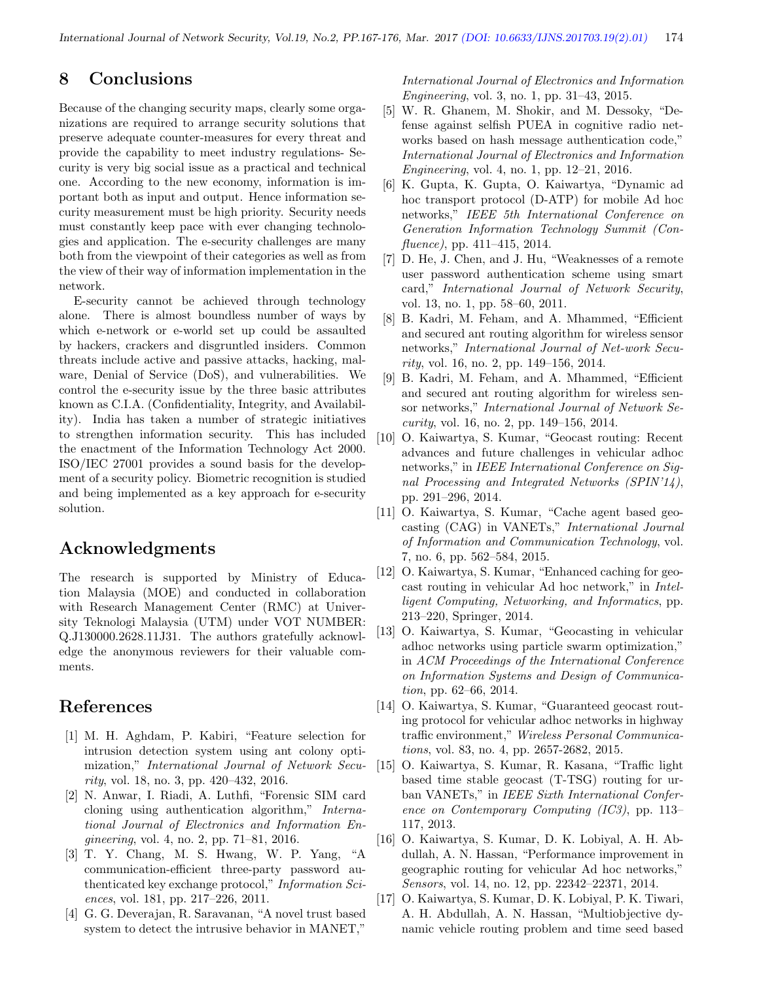# 8 Conclusions

Because of the changing security maps, clearly some organizations are required to arrange security solutions that preserve adequate counter-measures for every threat and provide the capability to meet industry regulations- Security is very big social issue as a practical and technical one. According to the new economy, information is important both as input and output. Hence information security measurement must be high priority. Security needs must constantly keep pace with ever changing technologies and application. The e-security challenges are many both from the viewpoint of their categories as well as from the view of their way of information implementation in the network.

E-security cannot be achieved through technology alone. There is almost boundless number of ways by which e-network or e-world set up could be assaulted by hackers, crackers and disgruntled insiders. Common threats include active and passive attacks, hacking, malware, Denial of Service (DoS), and vulnerabilities. We control the e-security issue by the three basic attributes known as C.I.A. (Confidentiality, Integrity, and Availability). India has taken a number of strategic initiatives to strengthen information security. This has included the enactment of the Information Technology Act 2000. ISO/IEC 27001 provides a sound basis for the development of a security policy. Biometric recognition is studied and being implemented as a key approach for e-security solution.

## Acknowledgments

The research is supported by Ministry of Education Malaysia (MOE) and conducted in collaboration with Research Management Center (RMC) at University Teknologi Malaysia (UTM) under VOT NUMBER: Q.J130000.2628.11J31. The authors gratefully acknowledge the anonymous reviewers for their valuable comments.

### References

- [1] M. H. Aghdam, P. Kabiri, "Feature selection for intrusion detection system using ant colony optimization," International Journal of Network Security, vol. 18, no. 3, pp. 420–432, 2016.
- [2] N. Anwar, I. Riadi, A. Luthfi, "Forensic SIM card cloning using authentication algorithm," International Journal of Electronics and Information Engineering, vol. 4, no. 2, pp. 71–81, 2016.
- [3] T. Y. Chang, M. S. Hwang, W. P. Yang, "A communication-efficient three-party password authenticated key exchange protocol," Information Sciences, vol. 181, pp. 217–226, 2011.
- [4] G. G. Deverajan, R. Saravanan, "A novel trust based system to detect the intrusive behavior in MANET,"

International Journal of Electronics and Information Engineering, vol. 3, no. 1, pp. 31–43, 2015.

- [5] W. R. Ghanem, M. Shokir, and M. Dessoky, "Defense against selfish PUEA in cognitive radio networks based on hash message authentication code," International Journal of Electronics and Information Engineering, vol. 4, no. 1, pp. 12–21, 2016.
- [6] K. Gupta, K. Gupta, O. Kaiwartya, "Dynamic ad hoc transport protocol (D-ATP) for mobile Ad hoc networks," IEEE 5th International Conference on Generation Information Technology Summit (Confluence), pp. 411–415, 2014.
- [7] D. He, J. Chen, and J. Hu, "Weaknesses of a remote user password authentication scheme using smart card," International Journal of Network Security, vol. 13, no. 1, pp. 58–60, 2011.
- [8] B. Kadri, M. Feham, and A. Mhammed, "Efficient and secured ant routing algorithm for wireless sensor networks," International Journal of Net-work Security, vol. 16, no. 2, pp. 149–156, 2014.
- [9] B. Kadri, M. Feham, and A. Mhammed, "Efficient and secured ant routing algorithm for wireless sensor networks," International Journal of Network Security, vol. 16, no. 2, pp. 149–156, 2014.
- [10] O. Kaiwartya, S. Kumar, "Geocast routing: Recent advances and future challenges in vehicular adhoc networks," in IEEE International Conference on Signal Processing and Integrated Networks (SPIN'14), pp. 291–296, 2014.
- [11] O. Kaiwartya, S. Kumar, "Cache agent based geocasting (CAG) in VANETs," International Journal of Information and Communication Technology, vol. 7, no. 6, pp. 562–584, 2015.
- [12] O. Kaiwartya, S. Kumar, "Enhanced caching for geocast routing in vehicular Ad hoc network," in Intelligent Computing, Networking, and Informatics, pp. 213–220, Springer, 2014.
- [13] O. Kaiwartya, S. Kumar, "Geocasting in vehicular adhoc networks using particle swarm optimization," in ACM Proceedings of the International Conference on Information Systems and Design of Communication, pp. 62–66, 2014.
- [14] O. Kaiwartya, S. Kumar, "Guaranteed geocast routing protocol for vehicular adhoc networks in highway traffic environment," Wireless Personal Communications, vol. 83, no. 4, pp. 2657-2682, 2015.
- [15] O. Kaiwartya, S. Kumar, R. Kasana, "Traffic light based time stable geocast (T-TSG) routing for urban VANETs," in IEEE Sixth International Conference on Contemporary Computing (IC3), pp. 113– 117, 2013.
- [16] O. Kaiwartya, S. Kumar, D. K. Lobiyal, A. H. Abdullah, A. N. Hassan, "Performance improvement in geographic routing for vehicular Ad hoc networks," Sensors, vol. 14, no. 12, pp. 22342–22371, 2014.
- [17] O. Kaiwartya, S. Kumar, D. K. Lobiyal, P. K. Tiwari, A. H. Abdullah, A. N. Hassan, "Multiobjective dynamic vehicle routing problem and time seed based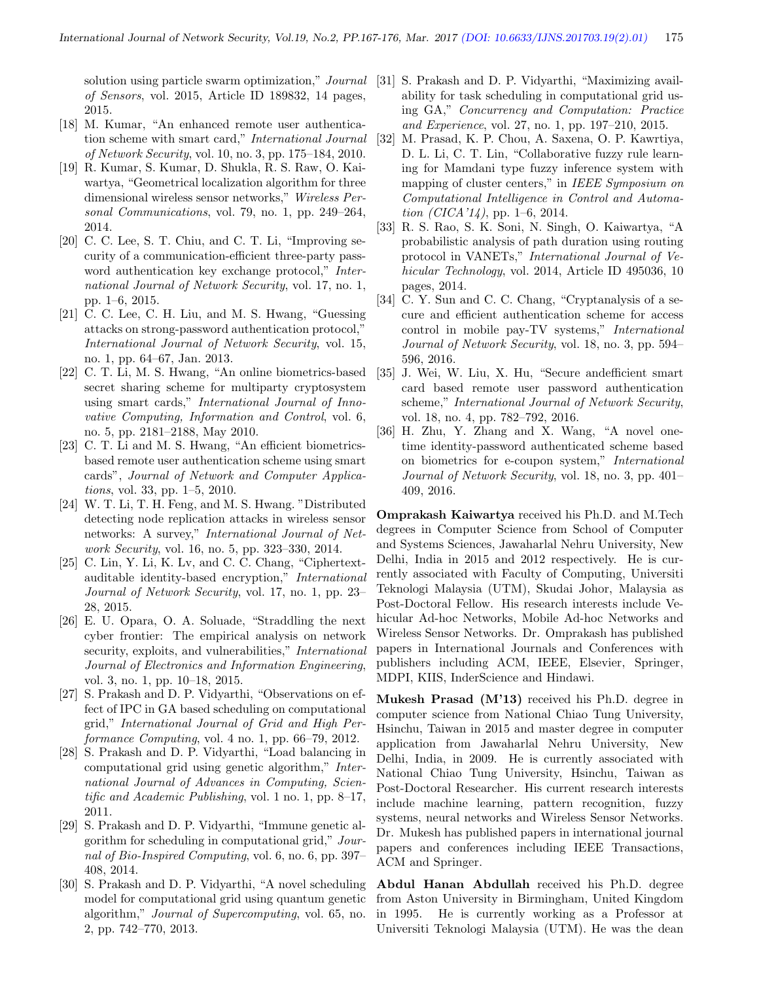of Sensors, vol. 2015, Article ID 189832, 14 pages, 2015.

- [18] M. Kumar, "An enhanced remote user authentication scheme with smart card," International Journal of Network Security, vol. 10, no. 3, pp. 175–184, 2010.
- [19] R. Kumar, S. Kumar, D. Shukla, R. S. Raw, O. Kaiwartya, "Geometrical localization algorithm for three dimensional wireless sensor networks," Wireless Personal Communications, vol. 79, no. 1, pp. 249–264, 2014.
- [20] C. C. Lee, S. T. Chiu, and C. T. Li, "Improving security of a communication-efficient three-party password authentication key exchange protocol," *Inter*national Journal of Network Security, vol. 17, no. 1, pp. 1–6, 2015.
- [21] C. C. Lee, C. H. Liu, and M. S. Hwang, "Guessing attacks on strong-password authentication protocol," International Journal of Network Security, vol. 15, no. 1, pp. 64–67, Jan. 2013.
- [22] C. T. Li, M. S. Hwang, "An online biometrics-based secret sharing scheme for multiparty cryptosystem using smart cards," International Journal of Innovative Computing, Information and Control, vol. 6, no. 5, pp. 2181–2188, May 2010.
- [23] C. T. Li and M. S. Hwang, "An efficient biometricsbased remote user authentication scheme using smart cards", Journal of Network and Computer Applications, vol. 33, pp. 1–5, 2010.
- [24] W. T. Li, T. H. Feng, and M. S. Hwang. "Distributed detecting node replication attacks in wireless sensor networks: A survey," International Journal of Network Security, vol. 16, no. 5, pp. 323–330, 2014.
- [25] C. Lin, Y. Li, K. Lv, and C. C. Chang, "Ciphertextauditable identity-based encryption," International Journal of Network Security, vol. 17, no. 1, pp. 23– 28, 2015.
- [26] E. U. Opara, O. A. Soluade, "Straddling the next cyber frontier: The empirical analysis on network security, exploits, and vulnerabilities," *International* Journal of Electronics and Information Engineering, vol. 3, no. 1, pp. 10–18, 2015.
- [27] S. Prakash and D. P. Vidyarthi, "Observations on effect of IPC in GA based scheduling on computational grid," International Journal of Grid and High Performance Computing, vol. 4 no. 1, pp. 66–79, 2012.
- [28] S. Prakash and D. P. Vidyarthi, "Load balancing in computational grid using genetic algorithm," International Journal of Advances in Computing, Scientific and Academic Publishing, vol. 1 no. 1, pp. 8–17, 2011.
- [29] S. Prakash and D. P. Vidyarthi, "Immune genetic algorithm for scheduling in computational grid," Journal of Bio-Inspired Computing, vol. 6, no. 6, pp. 397– 408, 2014.
- [30] S. Prakash and D. P. Vidyarthi, "A novel scheduling model for computational grid using quantum genetic algorithm," Journal of Supercomputing, vol. 65, no. 2, pp. 742–770, 2013.
- solution using particle swarm optimization," *Journal* [31] S. Prakash and D. P. Vidyarthi, "Maximizing availability for task scheduling in computational grid using GA," Concurrency and Computation: Practice and Experience, vol. 27, no. 1, pp. 197–210, 2015.
	- [32] M. Prasad, K. P. Chou, A. Saxena, O. P. Kawrtiya, D. L. Li, C. T. Lin, "Collaborative fuzzy rule learning for Mamdani type fuzzy inference system with mapping of cluster centers," in IEEE Symposium on Computational Intelligence in Control and Automation  $(CICA'14)$ , pp. 1–6, 2014.
	- [33] R. S. Rao, S. K. Soni, N. Singh, O. Kaiwartya, "A probabilistic analysis of path duration using routing protocol in VANETs," International Journal of Vehicular Technology, vol. 2014, Article ID 495036, 10 pages, 2014.
	- [34] C. Y. Sun and C. C. Chang, "Cryptanalysis of a secure and efficient authentication scheme for access control in mobile pay-TV systems," International Journal of Network Security, vol. 18, no. 3, pp. 594– 596, 2016.
	- [35] J. Wei, W. Liu, X. Hu, "Secure andefficient smart card based remote user password authentication scheme," International Journal of Network Security, vol. 18, no. 4, pp. 782–792, 2016.
	- [36] H. Zhu, Y. Zhang and X. Wang, "A novel onetime identity-password authenticated scheme based on biometrics for e-coupon system," International Journal of Network Security, vol. 18, no. 3, pp. 401– 409, 2016.

Omprakash Kaiwartya received his Ph.D. and M.Tech degrees in Computer Science from School of Computer and Systems Sciences, Jawaharlal Nehru University, New Delhi, India in 2015 and 2012 respectively. He is currently associated with Faculty of Computing, Universiti Teknologi Malaysia (UTM), Skudai Johor, Malaysia as Post-Doctoral Fellow. His research interests include Vehicular Ad-hoc Networks, Mobile Ad-hoc Networks and Wireless Sensor Networks. Dr. Omprakash has published papers in International Journals and Conferences with publishers including ACM, IEEE, Elsevier, Springer, MDPI, KIIS, InderScience and Hindawi.

Mukesh Prasad (M'13) received his Ph.D. degree in computer science from National Chiao Tung University, Hsinchu, Taiwan in 2015 and master degree in computer application from Jawaharlal Nehru University, New Delhi, India, in 2009. He is currently associated with National Chiao Tung University, Hsinchu, Taiwan as Post-Doctoral Researcher. His current research interests include machine learning, pattern recognition, fuzzy systems, neural networks and Wireless Sensor Networks. Dr. Mukesh has published papers in international journal papers and conferences including IEEE Transactions, ACM and Springer.

Abdul Hanan Abdullah received his Ph.D. degree from Aston University in Birmingham, United Kingdom in 1995. He is currently working as a Professor at Universiti Teknologi Malaysia (UTM). He was the dean